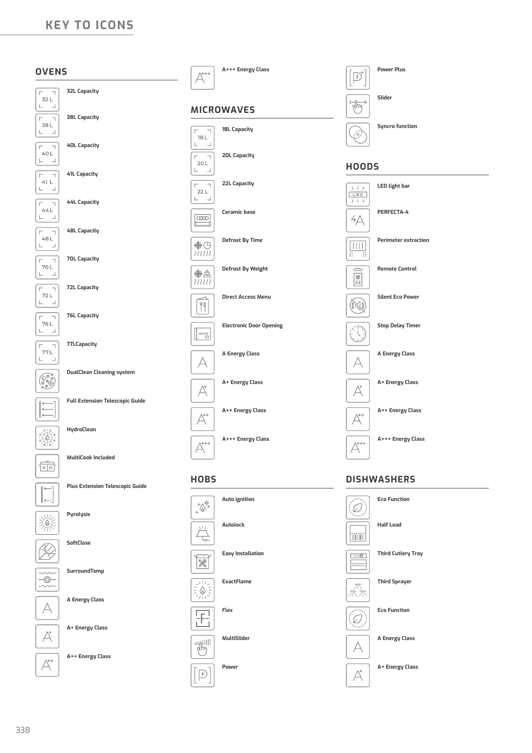# **KEY TO ICONS**